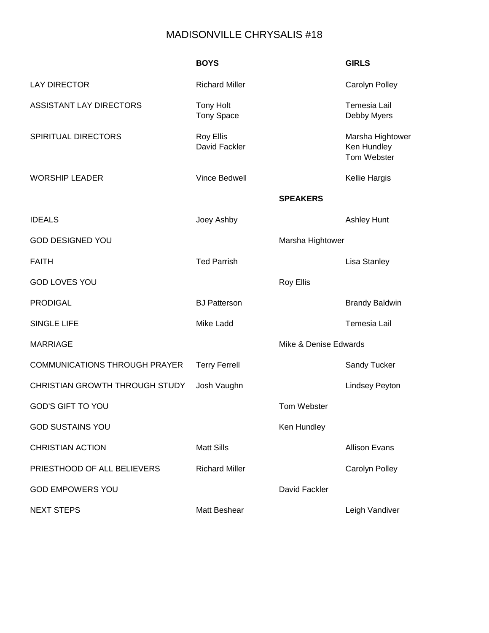## MADISONVILLE CHRYSALIS #18

|                                            | <b>BOYS</b>                           |                       | <b>GIRLS</b>                                   |
|--------------------------------------------|---------------------------------------|-----------------------|------------------------------------------------|
| <b>LAY DIRECTOR</b>                        | <b>Richard Miller</b>                 |                       | Carolyn Polley                                 |
| <b>ASSISTANT LAY DIRECTORS</b>             | <b>Tony Holt</b><br><b>Tony Space</b> |                       | <b>Temesia Lail</b><br>Debby Myers             |
| SPIRITUAL DIRECTORS                        | <b>Roy Ellis</b><br>David Fackler     |                       | Marsha Hightower<br>Ken Hundley<br>Tom Webster |
| <b>WORSHIP LEADER</b>                      | Vince Bedwell                         |                       | Kellie Hargis                                  |
|                                            |                                       | <b>SPEAKERS</b>       |                                                |
| <b>IDEALS</b>                              | Joey Ashby                            |                       | Ashley Hunt                                    |
| <b>GOD DESIGNED YOU</b>                    |                                       | Marsha Hightower      |                                                |
| <b>FAITH</b>                               | <b>Ted Parrish</b>                    |                       | <b>Lisa Stanley</b>                            |
| <b>GOD LOVES YOU</b>                       |                                       | <b>Roy Ellis</b>      |                                                |
| <b>PRODIGAL</b>                            | <b>BJ Patterson</b>                   |                       | <b>Brandy Baldwin</b>                          |
| <b>SINGLE LIFE</b>                         | <b>Mike Ladd</b>                      |                       | <b>Temesia Lail</b>                            |
| <b>MARRIAGE</b>                            |                                       | Mike & Denise Edwards |                                                |
| <b>COMMUNICATIONS THROUGH PRAYER</b>       | <b>Terry Ferrell</b>                  |                       | <b>Sandy Tucker</b>                            |
| CHRISTIAN GROWTH THROUGH STUDY Josh Vaughn |                                       |                       | <b>Lindsey Peyton</b>                          |
| <b>GOD'S GIFT TO YOU</b>                   |                                       | Tom Webster           |                                                |
| <b>GOD SUSTAINS YOU</b>                    |                                       | Ken Hundley           |                                                |
| <b>CHRISTIAN ACTION</b>                    | <b>Matt Sills</b>                     |                       | <b>Allison Evans</b>                           |
| PRIESTHOOD OF ALL BELIEVERS                | <b>Richard Miller</b>                 |                       | Carolyn Polley                                 |
| <b>GOD EMPOWERS YOU</b>                    |                                       | David Fackler         |                                                |
| <b>NEXT STEPS</b>                          | Matt Beshear                          |                       | Leigh Vandiver                                 |